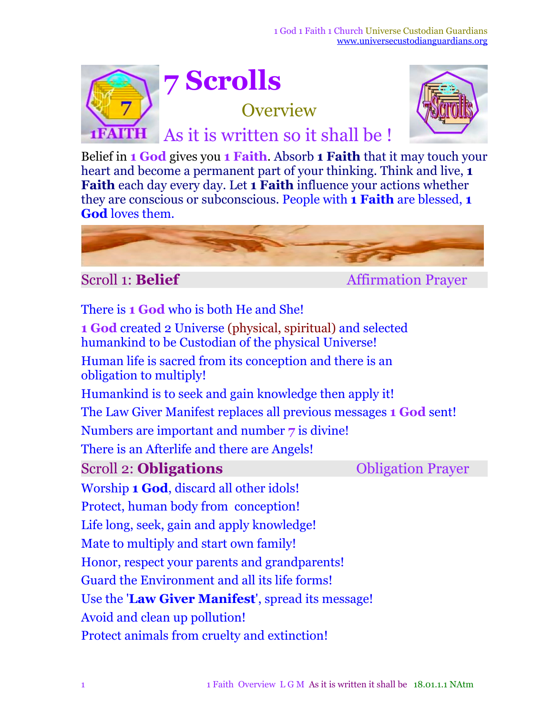

## **7 Scrolls**

**Overview** 



As it is written so it shall be !

Belief in **1 God** gives you **1 Faith**. Absorb **1 Faith** that it may touch your heart and become a permanent part of your thinking. Think and live, **1 Faith** each day every day. Let **1 Faith** influence your actions whether they are conscious or subconscious. People with **1 Faith** are blessed, **1 God** loves them.



Scroll 1: **Belief** Affirmation Prayer

There is **1 God** who is both He and She! **1 God** created 2 Universe (physical, spiritual) and selected humankind to be Custodian of the physical Universe! Human life is sacred from its conception and there is an obligation to multiply! Humankind is to seek and gain knowledge then apply it! The Law Giver Manifest replaces all previous messages **1 God** sent! Numbers are important and number **7** is divine! There is an Afterlife and there are Angels! Scroll 2: **Obligations Obligation Prayer** Worship **1 God**, discard all other idols! Protect, human body from conception! Life long, seek, gain and apply knowledge! Mate to multiply and start own family! Honor, respect your parents and grandparents! Guard the Environment and all its life forms! Use the '**Law Giver Manifest**', spread its message! Avoid and clean up pollution! Protect animals from cruelty and extinction!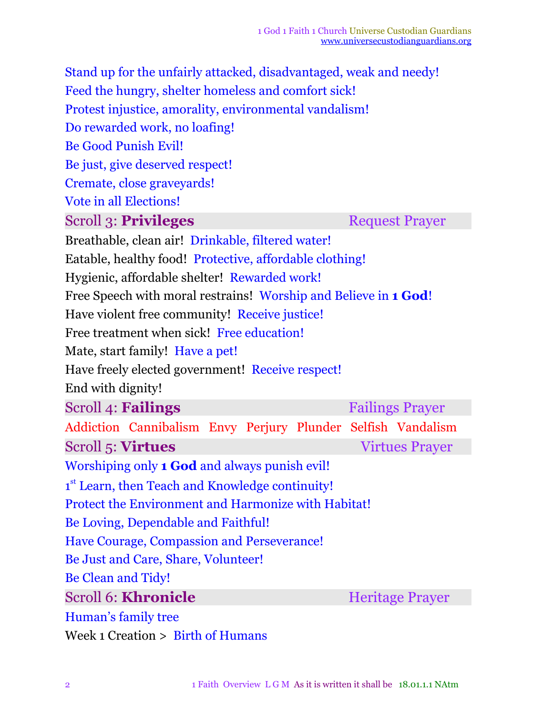Stand up for the unfairly attacked, disadvantaged, weak and needy! Feed the hungry, shelter homeless and comfort sick! Protest injustice, amorality, environmental vandalism! Do rewarded work, no loafing! Be Good Punish Evil! Be just, give deserved respect! Cremate, close graveyards! Vote in all Elections! **Scroll 3: Privileges** Request Prayer Breathable, clean air! Drinkable, filtered water! Eatable, healthy food! Protective, affordable clothing! Hygienic, affordable shelter! Rewarded work! Free Speech with moral restrains! Worship and Believe in **1 God**! Have violent free community! Receive justice! Free treatment when sick! Free education! Mate, start family! Have a pet! Have freely elected government! Receive respect! End with dignity! Scroll 4: **Failings** Failings Prayer Addiction Cannibalism Envy Perjury Plunder Selfish Vandalism Scroll 5: **Virtues** Virtues **Virtues** Virtues Prayer Worshiping only **1 God** and always punish evil! 1<sup>st</sup> Learn, then Teach and Knowledge continuity! Protect the Environment and Harmonize with Habitat! Be Loving, Dependable and Faithful! Have Courage, Compassion and Perseverance! Be Just and Care, Share, Volunteer! Be Clean and Tidy! Scroll 6: **Khronicle** Heritage Prayer Human's family tree

Week 1 Creation > Birth of Humans